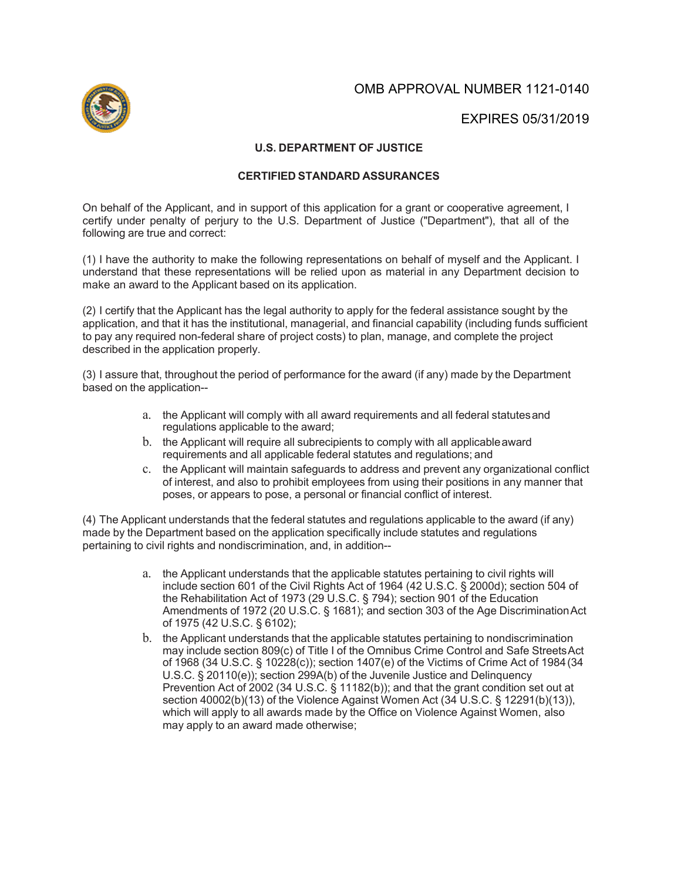OMB APPROVAL NUMBER 1121-0140



EXPIRES 05/31/2019

## **U.S. DEPARTMENT OF JUSTICE**

## **CERTIFIED STANDARD ASSURANCES**

On behalf of the Applicant, and in support of this application for a grant or cooperative agreement, I certify under penalty of perjury to the U.S. Department of Justice ("Department"), that all of the following are true and correct:

(1) I have the authority to make the following representations on behalf of myself and the Applicant. I understand that these representations will be relied upon as material in any Department decision to make an award to the Applicant based on its application.

(2) I certify that the Applicant has the legal authority to apply for the federal assistance sought by the application, and that it has the institutional, managerial, and financial capability (including funds sufficient to pay any required non-federal share of project costs) to plan, manage, and complete the project described in the application properly.

(3) I assure that, throughout the period of performance for the award (if any) made by the Department based on the application--

- a. the Applicant will comply with all award requirements and all federal statutesand regulations applicable to the award;
- b. the Applicant will require all subrecipients to comply with all applicableaward requirements and all applicable federal statutes and regulations; and
- c. the Applicant will maintain safeguards to address and prevent any organizational conflict of interest, and also to prohibit employees from using their positions in any manner that poses, or appears to pose, a personal or financial conflict of interest.

(4) The Applicant understands that the federal statutes and regulations applicable to the award (if any) made by the Department based on the application specifically include statutes and regulations pertaining to civil rights and nondiscrimination, and, in addition--

- a. the Applicant understands that the applicable statutes pertaining to civil rights will include section 601 of the Civil Rights Act of 1964 (42 U.S.C. § 2000d); section 504 of the Rehabilitation Act of 1973 (29 U.S.C. § 794); section 901 of the Education Amendments of 1972 (20 U.S.C. § 1681); and section 303 of the Age DiscriminationAct of 1975 (42 U.S.C. § 6102);
- b. the Applicant understands that the applicable statutes pertaining to nondiscrimination may include section 809(c) of Title I of the Omnibus Crime Control and Safe StreetsAct of 1968 (34 U.S.C. § 10228(c)); section 1407(e) of the Victims of Crime Act of 1984(34 U.S.C. § 20110(e)); section 299A(b) of the Juvenile Justice and Delinquency Prevention Act of 2002 (34 U.S.C. § 11182(b)); and that the grant condition set out at section 40002(b)(13) of the Violence Against Women Act (34 U.S.C. § 12291(b)(13)), which will apply to all awards made by the Office on Violence Against Women, also may apply to an award made otherwise;